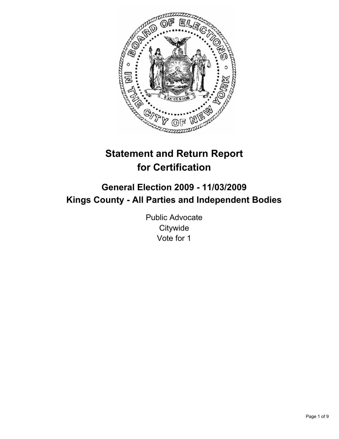

# **Statement and Return Report for Certification**

# **General Election 2009 - 11/03/2009 Kings County - All Parties and Independent Bodies**

Public Advocate **Citywide** Vote for 1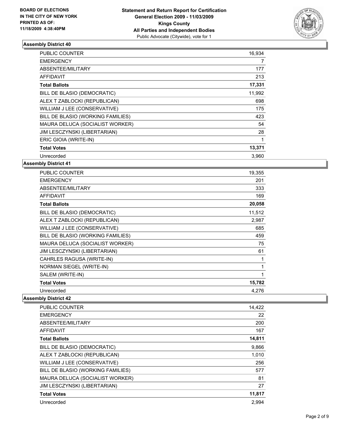

| <b>PUBLIC COUNTER</b>             | 16,934 |
|-----------------------------------|--------|
| <b>EMERGENCY</b>                  | 7      |
| ABSENTEE/MILITARY                 | 177    |
| <b>AFFIDAVIT</b>                  | 213    |
| <b>Total Ballots</b>              | 17,331 |
| BILL DE BLASIO (DEMOCRATIC)       | 11,992 |
| ALEX T ZABLOCKI (REPUBLICAN)      | 698    |
| WILLIAM J LEE (CONSERVATIVE)      | 175    |
| BILL DE BLASIO (WORKING FAMILIES) | 423    |
| MAURA DELUCA (SOCIALIST WORKER)   | 54     |
| JIM LESCZYNSKI (LIBERTARIAN)      | 28     |
| ERIC GIOIA (WRITE-IN)             | 1      |
| <b>Total Votes</b>                | 13,371 |
| Unrecorded                        | 3,960  |

**Assembly District 41**

| <b>PUBLIC COUNTER</b>               | 19,355 |
|-------------------------------------|--------|
| <b>EMERGENCY</b>                    | 201    |
| ABSENTEE/MILITARY                   | 333    |
| <b>AFFIDAVIT</b>                    | 169    |
| <b>Total Ballots</b>                | 20,058 |
| BILL DE BLASIO (DEMOCRATIC)         | 11,512 |
| ALEX T ZABLOCKI (REPUBLICAN)        | 2,987  |
| WILLIAM J LEE (CONSERVATIVE)        | 685    |
| BILL DE BLASIO (WORKING FAMILIES)   | 459    |
| MAURA DELUCA (SOCIALIST WORKER)     | 75     |
| <b>JIM LESCZYNSKI (LIBERTARIAN)</b> | 61     |
| CAHRLES RAGUSA (WRITE-IN)           | 1      |
| NORMAN SIEGEL (WRITE-IN)            | 1      |
| SALEM (WRITE-IN)                    | 1      |
| <b>Total Votes</b>                  | 15,782 |
| Unrecorded                          | 4,276  |

| <b>PUBLIC COUNTER</b>             | 14,422 |
|-----------------------------------|--------|
| <b>EMERGENCY</b>                  | 22     |
| ABSENTEE/MILITARY                 | 200    |
| <b>AFFIDAVIT</b>                  | 167    |
| <b>Total Ballots</b>              | 14,811 |
| BILL DE BLASIO (DEMOCRATIC)       | 9,866  |
| ALEX T ZABLOCKI (REPUBLICAN)      | 1,010  |
| WILLIAM J LEE (CONSERVATIVE)      | 256    |
| BILL DE BLASIO (WORKING FAMILIES) | 577    |
| MAURA DELUCA (SOCIALIST WORKER)   | 81     |
| JIM LESCZYNSKI (LIBERTARIAN)      | 27     |
| <b>Total Votes</b>                | 11,817 |
| Unrecorded                        | 2,994  |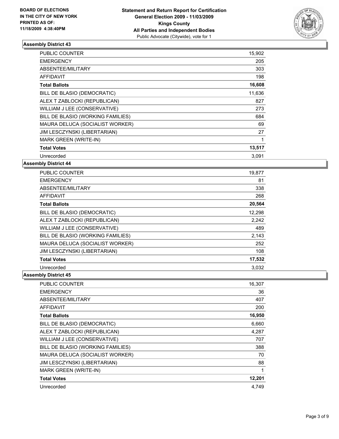

| <b>PUBLIC COUNTER</b>             | 15,902 |
|-----------------------------------|--------|
| <b>EMERGENCY</b>                  | 205    |
| ABSENTEE/MILITARY                 | 303    |
| AFFIDAVIT                         | 198    |
| <b>Total Ballots</b>              | 16,608 |
| BILL DE BLASIO (DEMOCRATIC)       | 11,636 |
| ALEX T ZABLOCKI (REPUBLICAN)      | 827    |
| WILLIAM J LEE (CONSERVATIVE)      | 273    |
| BILL DE BLASIO (WORKING FAMILIES) | 684    |
| MAURA DELUCA (SOCIALIST WORKER)   | 69     |
| JIM LESCZYNSKI (LIBERTARIAN)      | 27     |
| MARK GREEN (WRITE-IN)             | 1      |
| <b>Total Votes</b>                | 13,517 |
| Unrecorded                        | 3,091  |

**Assembly District 44**

| <b>PUBLIC COUNTER</b>             | 19,877 |
|-----------------------------------|--------|
| <b>EMERGENCY</b>                  | 81     |
| ABSENTEE/MILITARY                 | 338    |
| <b>AFFIDAVIT</b>                  | 268    |
| <b>Total Ballots</b>              | 20,564 |
| BILL DE BLASIO (DEMOCRATIC)       | 12,298 |
| ALEX T ZABLOCKI (REPUBLICAN)      | 2,242  |
| WILLIAM J LEE (CONSERVATIVE)      | 489    |
| BILL DE BLASIO (WORKING FAMILIES) | 2,143  |
| MAURA DELUCA (SOCIALIST WORKER)   | 252    |
| JIM LESCZYNSKI (LIBERTARIAN)      | 108    |
| <b>Total Votes</b>                | 17,532 |
| Unrecorded                        | 3.032  |

| <b>PUBLIC COUNTER</b>             | 16,307 |
|-----------------------------------|--------|
| <b>EMERGENCY</b>                  | 36     |
| ABSENTEE/MILITARY                 | 407    |
| AFFIDAVIT                         | 200    |
| <b>Total Ballots</b>              | 16,950 |
| BILL DE BLASIO (DEMOCRATIC)       | 6,660  |
| ALEX T ZABLOCKI (REPUBLICAN)      | 4,287  |
| WILLIAM J LEE (CONSERVATIVE)      | 707    |
| BILL DE BLASIO (WORKING FAMILIES) | 388    |
| MAURA DELUCA (SOCIALIST WORKER)   | 70     |
| JIM LESCZYNSKI (LIBERTARIAN)      | 88     |
| <b>MARK GREEN (WRITE-IN)</b>      | 1      |
| <b>Total Votes</b>                | 12,201 |
| Unrecorded                        | 4.749  |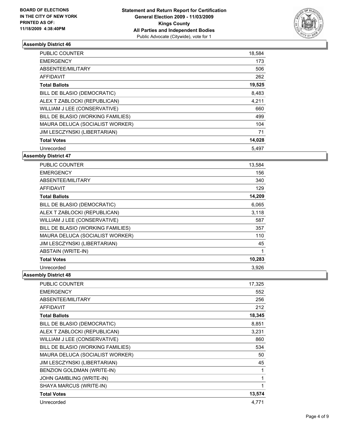

| <b>PUBLIC COUNTER</b>             | 18,584 |
|-----------------------------------|--------|
| <b>EMERGENCY</b>                  | 173    |
| ABSENTEE/MILITARY                 | 506    |
| AFFIDAVIT                         | 262    |
| <b>Total Ballots</b>              | 19,525 |
| BILL DE BLASIO (DEMOCRATIC)       | 8,483  |
| ALEX T ZABLOCKI (REPUBLICAN)      | 4,211  |
| WILLIAM J LEE (CONSERVATIVE)      | 660    |
| BILL DE BLASIO (WORKING FAMILIES) | 499    |
| MAURA DELUCA (SOCIALIST WORKER)   | 104    |
| JIM LESCZYNSKI (LIBERTARIAN)      | 71     |
| <b>Total Votes</b>                | 14,028 |
| Unrecorded                        | 5,497  |

## **Assembly District 47**

| <b>PUBLIC COUNTER</b>             | 13,584 |
|-----------------------------------|--------|
| <b>EMERGENCY</b>                  | 156    |
| ABSENTEE/MILITARY                 | 340    |
| AFFIDAVIT                         | 129    |
| <b>Total Ballots</b>              | 14,209 |
| BILL DE BLASIO (DEMOCRATIC)       | 6,065  |
| ALEX T ZABLOCKI (REPUBLICAN)      | 3,118  |
| WILLIAM J LEE (CONSERVATIVE)      | 587    |
| BILL DE BLASIO (WORKING FAMILIES) | 357    |
| MAURA DELUCA (SOCIALIST WORKER)   | 110    |
| JIM LESCZYNSKI (LIBERTARIAN)      | 45     |
| <b>ABSTAIN (WRITE-IN)</b>         | 1      |
| <b>Total Votes</b>                | 10,283 |
| Unrecorded                        | 3,926  |

| <b>PUBLIC COUNTER</b>             | 17,325 |
|-----------------------------------|--------|
| <b>EMERGENCY</b>                  | 552    |
| ABSENTEE/MILITARY                 | 256    |
| <b>AFFIDAVIT</b>                  | 212    |
| <b>Total Ballots</b>              | 18,345 |
| BILL DE BLASIO (DEMOCRATIC)       | 8,851  |
| ALEX T ZABLOCKI (REPUBLICAN)      | 3,231  |
| WILLIAM J LEE (CONSERVATIVE)      | 860    |
| BILL DE BLASIO (WORKING FAMILIES) | 534    |
| MAURA DELUCA (SOCIALIST WORKER)   | 50     |
| JIM LESCZYNSKI (LIBERTARIAN)      | 45     |
| BENZION GOLDMAN (WRITE-IN)        | 1      |
| JOHN GAMBLING (WRITE-IN)          | 1      |
| SHAYA MARCUS (WRITE-IN)           | 1      |
| <b>Total Votes</b>                | 13,574 |
| Unrecorded                        | 4.771  |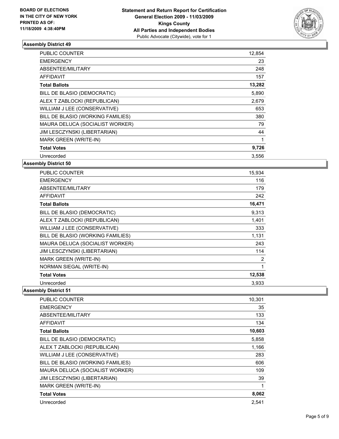

| <b>PUBLIC COUNTER</b>             | 12,854      |
|-----------------------------------|-------------|
| <b>EMERGENCY</b>                  | 23          |
| ABSENTEE/MILITARY                 | 248         |
| <b>AFFIDAVIT</b>                  | 157         |
| <b>Total Ballots</b>              | 13,282      |
| BILL DE BLASIO (DEMOCRATIC)       | 5,890       |
| ALEX T ZABLOCKI (REPUBLICAN)      | 2,679       |
| WILLIAM J LEE (CONSERVATIVE)      | 653         |
| BILL DE BLASIO (WORKING FAMILIES) | 380         |
| MAURA DELUCA (SOCIALIST WORKER)   | 79          |
| JIM LESCZYNSKI (LIBERTARIAN)      | 44          |
| <b>MARK GREEN (WRITE-IN)</b>      | $\mathbf 1$ |
| <b>Total Votes</b>                | 9,726       |
| Unrecorded                        | 3,556       |

**Assembly District 50**

| <b>PUBLIC COUNTER</b>             | 15,934 |
|-----------------------------------|--------|
| <b>EMERGENCY</b>                  | 116    |
| ABSENTEE/MILITARY                 | 179    |
| <b>AFFIDAVIT</b>                  | 242    |
| <b>Total Ballots</b>              | 16,471 |
| BILL DE BLASIO (DEMOCRATIC)       | 9,313  |
| ALEX T ZABLOCKI (REPUBLICAN)      | 1,401  |
| WILLIAM J LEE (CONSERVATIVE)      | 333    |
| BILL DE BLASIO (WORKING FAMILIES) | 1,131  |
| MAURA DELUCA (SOCIALIST WORKER)   | 243    |
| JIM LESCZYNSKI (LIBERTARIAN)      | 114    |
| MARK GREEN (WRITE-IN)             | 2      |
| NORMAN SIEGAL (WRITE-IN)          | 1      |
| <b>Total Votes</b>                | 12,538 |
| Unrecorded                        | 3.933  |

| <b>PUBLIC COUNTER</b>             | 10,301 |
|-----------------------------------|--------|
| <b>EMERGENCY</b>                  | 35     |
| ABSENTEE/MILITARY                 | 133    |
| <b>AFFIDAVIT</b>                  | 134    |
| <b>Total Ballots</b>              | 10,603 |
| BILL DE BLASIO (DEMOCRATIC)       | 5,858  |
| ALEX T ZABLOCKI (REPUBLICAN)      | 1,166  |
| WILLIAM J LEE (CONSERVATIVE)      | 283    |
| BILL DE BLASIO (WORKING FAMILIES) | 606    |
| MAURA DELUCA (SOCIALIST WORKER)   | 109    |
| JIM LESCZYNSKI (LIBERTARIAN)      | 39     |
| MARK GREEN (WRITE-IN)             | 1      |
| <b>Total Votes</b>                | 8,062  |
| Unrecorded                        | 2,541  |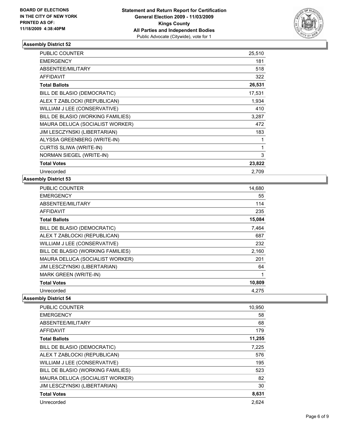

| PUBLIC COUNTER                    | 25,510 |
|-----------------------------------|--------|
| <b>EMERGENCY</b>                  | 181    |
| ABSENTEE/MILITARY                 | 518    |
| <b>AFFIDAVIT</b>                  | 322    |
| <b>Total Ballots</b>              | 26,531 |
| BILL DE BLASIO (DEMOCRATIC)       | 17,531 |
| ALEX T ZABLOCKI (REPUBLICAN)      | 1,934  |
| WILLIAM J LEE (CONSERVATIVE)      | 410    |
| BILL DE BLASIO (WORKING FAMILIES) | 3,287  |
| MAURA DELUCA (SOCIALIST WORKER)   | 472    |
| JIM LESCZYNSKI (LIBERTARIAN)      | 183    |
| ALYSSA GREENBERG (WRITE-IN)       | 1      |
| CURTIS SLIWA (WRITE-IN)           | 1      |
| NORMAN SIEGEL (WRITE-IN)          | 3      |
| <b>Total Votes</b>                | 23,822 |
| Unrecorded                        | 2,709  |

### **Assembly District 53**

| <b>PUBLIC COUNTER</b>             | 14,680 |
|-----------------------------------|--------|
| <b>EMERGENCY</b>                  | 55     |
| ABSENTEE/MILITARY                 | 114    |
| <b>AFFIDAVIT</b>                  | 235    |
| <b>Total Ballots</b>              | 15,084 |
| BILL DE BLASIO (DEMOCRATIC)       | 7,464  |
| ALEX T ZABLOCKI (REPUBLICAN)      | 687    |
| WILLIAM J LEE (CONSERVATIVE)      | 232    |
| BILL DE BLASIO (WORKING FAMILIES) | 2,160  |
| MAURA DELUCA (SOCIALIST WORKER)   | 201    |
| JIM LESCZYNSKI (LIBERTARIAN)      | 64     |
| MARK GREEN (WRITE-IN)             | 1      |
| <b>Total Votes</b>                | 10,809 |
| Unrecorded                        | 4.275  |

| <b>PUBLIC COUNTER</b>             | 10,950 |
|-----------------------------------|--------|
| <b>EMERGENCY</b>                  | 58     |
| ABSENTEE/MILITARY                 | 68     |
| <b>AFFIDAVIT</b>                  | 179    |
| <b>Total Ballots</b>              | 11,255 |
| BILL DE BLASIO (DEMOCRATIC)       | 7,225  |
| ALEX T ZABLOCKI (REPUBLICAN)      | 576    |
| WILLIAM J LEE (CONSERVATIVE)      | 195    |
| BILL DE BLASIO (WORKING FAMILIES) | 523    |
| MAURA DELUCA (SOCIALIST WORKER)   | 82     |
| JIM LESCZYNSKI (LIBERTARIAN)      | 30     |
| <b>Total Votes</b>                | 8,631  |
| Unrecorded                        | 2.624  |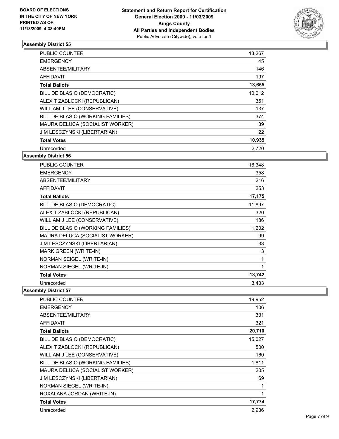

| PUBLIC COUNTER                    | 13,267 |
|-----------------------------------|--------|
| <b>EMERGENCY</b>                  | 45     |
| ABSENTEE/MILITARY                 | 146    |
| <b>AFFIDAVIT</b>                  | 197    |
| <b>Total Ballots</b>              | 13,655 |
| BILL DE BLASIO (DEMOCRATIC)       | 10,012 |
| ALEX T ZABLOCKI (REPUBLICAN)      | 351    |
| WILLIAM J LEE (CONSERVATIVE)      | 137    |
| BILL DE BLASIO (WORKING FAMILIES) | 374    |
| MAURA DELUCA (SOCIALIST WORKER)   | 39     |
| JIM LESCZYNSKI (LIBERTARIAN)      | 22     |
| <b>Total Votes</b>                | 10,935 |
| Unrecorded                        | 2,720  |

## **Assembly District 56**

| <b>PUBLIC COUNTER</b>             | 16,348 |
|-----------------------------------|--------|
| <b>EMERGENCY</b>                  | 358    |
| ABSENTEE/MILITARY                 | 216    |
| <b>AFFIDAVIT</b>                  | 253    |
| <b>Total Ballots</b>              | 17,175 |
| BILL DE BLASIO (DEMOCRATIC)       | 11,897 |
| ALEX T ZABLOCKI (REPUBLICAN)      | 320    |
| WILLIAM J LEE (CONSERVATIVE)      | 186    |
| BILL DE BLASIO (WORKING FAMILIES) | 1,202  |
| MAURA DELUCA (SOCIALIST WORKER)   | 99     |
| JIM LESCZYNSKI (LIBERTARIAN)      | 33     |
| <b>MARK GREEN (WRITE-IN)</b>      | 3      |
| NORMAN SEIGEL (WRITE-IN)          | 1      |
| <b>NORMAN SIEGEL (WRITE-IN)</b>   | 1      |
| <b>Total Votes</b>                | 13,742 |
| Unrecorded                        | 3,433  |

| <b>PUBLIC COUNTER</b>             | 19,952 |
|-----------------------------------|--------|
| <b>EMERGENCY</b>                  | 106    |
| ABSENTEE/MILITARY                 | 331    |
| <b>AFFIDAVIT</b>                  | 321    |
| <b>Total Ballots</b>              | 20,710 |
| BILL DE BLASIO (DEMOCRATIC)       | 15,027 |
| ALEX T ZABLOCKI (REPUBLICAN)      | 500    |
| WILLIAM J LEE (CONSERVATIVE)      | 160    |
| BILL DE BLASIO (WORKING FAMILIES) | 1,811  |
| MAURA DELUCA (SOCIALIST WORKER)   | 205    |
| JIM LESCZYNSKI (LIBERTARIAN)      | 69     |
| NORMAN SIEGEL (WRITE-IN)          | 1      |
| ROXALANA JORDAN (WRITE-IN)        | 1      |
| <b>Total Votes</b>                | 17,774 |
| Unrecorded                        | 2,936  |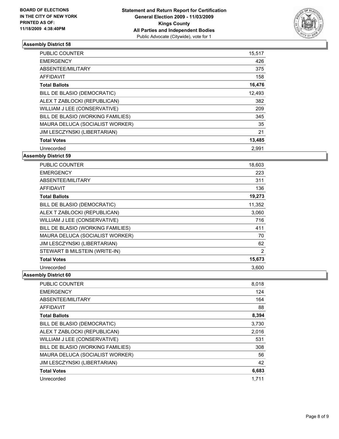

| <b>PUBLIC COUNTER</b>             | 15,517 |
|-----------------------------------|--------|
| <b>EMERGENCY</b>                  | 426    |
| ABSENTEE/MILITARY                 | 375    |
| <b>AFFIDAVIT</b>                  | 158    |
| <b>Total Ballots</b>              | 16,476 |
| BILL DE BLASIO (DEMOCRATIC)       | 12,493 |
| ALEX T ZABLOCKI (REPUBLICAN)      | 382    |
| WILLIAM J LEE (CONSERVATIVE)      | 209    |
| BILL DE BLASIO (WORKING FAMILIES) | 345    |
| MAURA DELUCA (SOCIALIST WORKER)   | 35     |
| JIM LESCZYNSKI (LIBERTARIAN)      | 21     |
| <b>Total Votes</b>                | 13,485 |
| Unrecorded                        | 2,991  |

**Assembly District 59**

| <b>PUBLIC COUNTER</b>             | 18,603         |
|-----------------------------------|----------------|
| <b>EMERGENCY</b>                  | 223            |
| ABSENTEE/MILITARY                 | 311            |
| <b>AFFIDAVIT</b>                  | 136            |
| <b>Total Ballots</b>              | 19,273         |
| BILL DE BLASIO (DEMOCRATIC)       | 11,352         |
| ALEX T ZABLOCKI (REPUBLICAN)      | 3,060          |
| WILLIAM J LEE (CONSERVATIVE)      | 716            |
| BILL DE BLASIO (WORKING FAMILIES) | 411            |
| MAURA DELUCA (SOCIALIST WORKER)   | 70             |
| JIM LESCZYNSKI (LIBERTARIAN)      | 62             |
| STEWART B MILSTEIN (WRITE-IN)     | $\overline{2}$ |
| <b>Total Votes</b>                | 15,673         |
| Unrecorded                        | 3.600          |

| PUBLIC COUNTER                    | 8,018 |
|-----------------------------------|-------|
| <b>EMERGENCY</b>                  | 124   |
| ABSENTEE/MILITARY                 | 164   |
| <b>AFFIDAVIT</b>                  | 88    |
| <b>Total Ballots</b>              | 8,394 |
| BILL DE BLASIO (DEMOCRATIC)       | 3,730 |
| ALEX T ZABLOCKI (REPUBLICAN)      | 2,016 |
| WILLIAM J LEE (CONSERVATIVE)      | 531   |
| BILL DE BLASIO (WORKING FAMILIES) | 308   |
| MAURA DELUCA (SOCIALIST WORKER)   | 56    |
| JIM LESCZYNSKI (LIBERTARIAN)      | 42    |
| <b>Total Votes</b>                | 6,683 |
| Unrecorded                        | 1.711 |